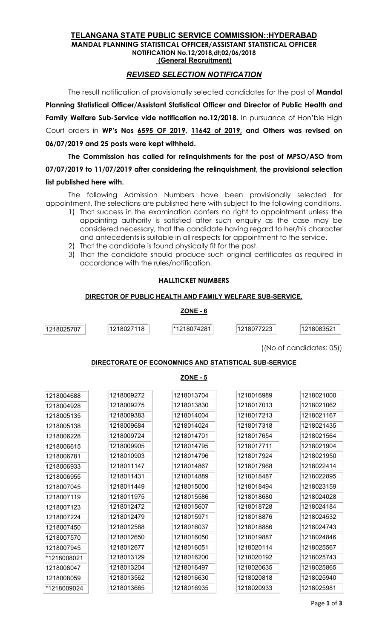#### TELANGANA STATE PUBLIC SERVICE COMMISSION::HYDERABAD MANDAL PLANNING STATISTICAL OFFICER/ASSISTANT STATISTICAL OFFICER NOTIFICATION No.12/2018,dt;02/06/2018 (General Recruitment)

# REVISED SELECTION NOTIFICATION

The result notification of provisionally selected candidates for the post of Mandal Planning Statistical Officer/Assistant Statistical Officer and Director of Public Health and Family Welfare Sub-Service vide notification no.12/2018. In pursuance of Hon'ble High Court orders in WP's Nos 6595 OF 2019, 11642 of 2019, and Others was revised on 06/07/2019 and 25 posts were kept withheld.

The Commission has called for relinquishments for the post of MPSO/ASO from 07/07/2019 to 11/07/2019 after considering the relinquishment, the provisional selection list published here with.

The following Admission Numbers have been provisionally selected for appointment. The selections are published here with subject to the following conditions.

- 1) That success in the examination confers no right to appointment unless the appointing authority is satisfied after such enquiry as the case may be considered necessary, that the candidate having regard to her/his character and antecedents is suitable in all respects for appointment to the service.
- 2) That the candidate is found physically fit for the post.
- 3) That the candidate should produce such original certificates as required in accordance with the rules/notification.

## HALLTICKET NUMBERS

#### DIRECTOR OF PUBLIC HEALTH AND FAMILY WELFARE SUB-SERVICE.

## ZONE - 6

1218025707 1218027118 \*1218074281 1218077223 1218083521

((No.of candidates: 05))

## DIRECTORATE OF ECONOMNICS AND STATISTICAL SUB-SERVICE

### ZONE - 5

| 1218004688  | 1218009272 | 1218013704 | 1218016989 | 1218021000 |
|-------------|------------|------------|------------|------------|
| 1218004928  | 1218009275 | 1218013830 | 1218017013 | 1218021062 |
| 1218005135  | 1218009383 | 1218014004 | 1218017213 | 1218021167 |
| 1218005138  | 1218009684 | 1218014024 | 1218017318 | 1218021435 |
| 1218006228  | 1218009724 | 1218014701 | 1218017654 | 1218021564 |
| 1218006615  | 1218009905 | 1218014795 | 1218017711 | 1218021904 |
| 1218006781  | 1218010903 | 1218014796 | 1218017924 | 1218021950 |
| 1218006933  | 1218011147 | 1218014867 | 1218017968 | 1218022414 |
| 1218006955  | 1218011431 | 1218014889 | 1218018487 | 1218022895 |
| 1218007045  | 1218011449 | 1218015000 | 1218018494 | 1218023159 |
| 1218007119  | 1218011975 | 1218015586 | 1218018680 | 1218024028 |
| 1218007123  | 1218012472 | 1218015607 | 1218018728 | 1218024184 |
| 1218007224  | 1218012479 | 1218015971 | 1218018876 | 1218024532 |
| 1218007450  | 1218012588 | 1218016037 | 1218018886 | 1218024743 |
| 1218007570  | 1218012650 | 1218016050 | 1218019887 | 1218024846 |
| 1218007945  | 1218012677 | 1218016051 | 1218020114 | 1218025567 |
| *1218008021 | 1218013129 | 1218016200 | 1218020192 | 1218025743 |
| 1218008047  | 1218013204 | 1218016497 | 1218020635 | 1218025865 |
| 1218008059  | 1218013562 | 1218016630 | 1218020818 | 1218025940 |
| *1218009024 | 1218013665 | 1218016935 | 1218020933 | 1218025981 |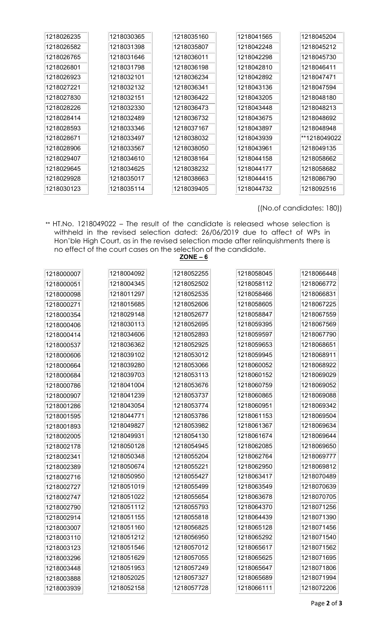| 1218026235 | 1218030365 | 1218035160 | 1218041565 | 1218045204   |
|------------|------------|------------|------------|--------------|
| 1218026582 | 1218031398 | 1218035807 | 1218042248 | 1218045212   |
| 1218026765 | 1218031646 | 1218036011 | 1218042298 | 1218045730   |
| 1218026801 | 1218031798 | 1218036198 | 1218042810 | 1218046411   |
| 1218026923 | 1218032101 | 1218036234 | 1218042892 | 1218047471   |
| 1218027221 | 1218032132 | 1218036341 | 1218043136 | 1218047594   |
| 1218027830 | 1218032151 | 1218036422 | 1218043205 | 1218048180   |
| 1218028226 | 1218032330 | 1218036473 | 1218043448 | 1218048213   |
| 1218028414 | 1218032489 | 1218036732 | 1218043675 | 1218048692   |
| 1218028593 | 1218033346 | 1218037167 | 1218043897 | 1218048948   |
| 1218028671 | 1218033497 | 1218038032 | 1218043939 | **1218049022 |
| 1218028906 | 1218033567 | 1218038050 | 1218043961 | 1218049135   |
| 1218029407 | 1218034610 | 1218038164 | 1218044158 | 1218058662   |
| 1218029645 | 1218034625 | 1218038232 | 1218044177 | 1218058682   |
| 1218029928 | 1218035017 | 1218038663 | 1218044415 | 1218086790   |
| 1218030123 | 1218035114 | 1218039405 | 1218044732 | 1218092516   |

((No.of candidates: 180))

\*\* HT.No. 1218049022 – The result of the candidate is released whose selection is withheld in the revised selection dated: 26/06/2019 due to affect of WPs in Hon'ble High Court, as in the revised selection made after relinquishments there is no effect of the court cases on the selection of the candidate.

| ٠<br>Ξ<br>w<br>− |  |
|------------------|--|
|                  |  |

| 1218000007 | 1218004092 | 1218052255 | 1218058045 | 1218066448 |
|------------|------------|------------|------------|------------|
| 1218000051 | 1218004345 | 1218052502 | 1218058112 | 1218066772 |
| 1218000098 | 1218011297 | 1218052535 | 1218058466 | 1218066831 |
| 1218000271 | 1218015685 | 1218052606 | 1218058605 | 1218067225 |
| 1218000354 | 1218029148 | 1218052677 | 1218058847 | 1218067559 |
| 1218000406 | 1218030113 | 1218052695 | 1218059395 | 1218067569 |
| 1218000414 | 1218034606 | 1218052893 | 1218059597 | 1218067790 |
| 1218000537 | 1218036362 | 1218052925 | 1218059653 | 1218068651 |
| 1218000606 | 1218039102 | 1218053012 | 1218059945 | 1218068911 |
| 1218000664 | 1218039280 | 1218053066 | 1218060052 | 1218068922 |
| 1218000684 | 1218039703 | 1218053113 | 1218060152 | 1218069029 |
| 1218000786 | 1218041004 | 1218053676 | 1218060759 | 1218069052 |
| 1218000907 | 1218041239 | 1218053737 | 1218060865 | 1218069088 |
| 1218001286 | 1218043054 | 1218053774 | 1218060951 | 1218069342 |
| 1218001595 | 1218044771 | 1218053786 | 1218061153 | 1218069504 |
| 1218001893 | 1218049827 | 1218053982 | 1218061367 | 1218069634 |
| 1218002005 | 1218049931 | 1218054130 | 1218061674 | 1218069644 |
| 1218002178 | 1218050128 | 1218054945 | 1218062085 | 1218069650 |
| 1218002341 | 1218050348 | 1218055204 | 1218062764 | 1218069777 |
| 1218002389 | 1218050674 | 1218055221 | 1218062950 | 1218069812 |
| 1218002716 | 1218050950 | 1218055427 | 1218063417 | 1218070489 |
| 1218002727 | 1218051019 | 1218055499 | 1218063549 | 1218070639 |
| 1218002747 | 1218051022 | 1218055654 | 1218063678 | 1218070705 |
| 1218002790 | 1218051112 | 1218055793 | 1218064370 | 1218071256 |
| 1218002914 | 1218051155 | 1218055818 | 1218064439 | 1218071390 |
| 1218003007 | 1218051160 | 1218056825 | 1218065128 | 1218071456 |
| 1218003110 | 1218051212 | 1218056950 | 1218065292 | 1218071540 |
| 1218003123 | 1218051546 | 1218057012 | 1218065617 | 1218071562 |
| 1218003296 | 1218051629 | 1218057055 | 1218065625 | 1218071695 |
| 1218003448 | 1218051953 | 1218057249 | 1218065647 | 1218071806 |
| 1218003888 | 1218052025 | 1218057327 | 1218065689 | 1218071994 |
| 1218003939 | 1218052158 | 1218057728 | 1218066111 | 1218072206 |